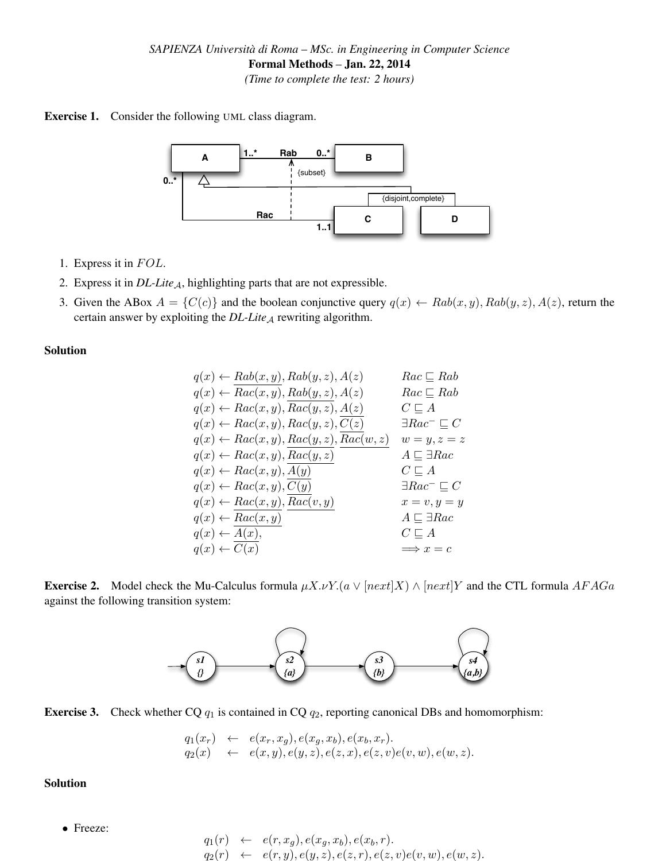



- 1. Express it in  $FOL$ .
- 2. Express it in *DL-Lite<sub>A</sub>*, highlighting parts that are not expressible.
- 3. Given the ABox  $A = \{C(c)\}\$ and the boolean conjunctive query  $q(x) \leftarrow \text{Rab}(x, y), \text{Rab}(y, z), A(z)$ , return the certain answer by exploiting the *DL-Lite<sub>A</sub>* rewriting algorithm.

## Solution

$$
q(x) \leftarrow \text{Rab}(x, y), \text{Rab}(y, z), A(z) \qquad \text{Rac} \subseteq \text{Rab}
$$
\n
$$
q(x) \leftarrow \text{Rac}(x, y), \text{Rab}(y, z), A(z) \qquad \text{Rac} \subseteq \text{Rab}
$$
\n
$$
q(x) \leftarrow \text{Rac}(x, y), \text{Rac}(y, z), A(z) \qquad \text{C} \subseteq A
$$
\n
$$
q(x) \leftarrow \text{Rac}(x, y), \text{Rac}(y, z), \overline{C(z)} \qquad \exists \text{Rac}^{-} \subseteq C
$$
\n
$$
q(x) \leftarrow \text{Rac}(x, y), \text{Rac}(y, z), \overline{\text{Rac}(w, z)} \qquad w = y, z = z
$$
\n
$$
q(x) \leftarrow \text{Rac}(x, y), \overline{\text{Rac}(y, z)} \qquad \text{C} \subseteq A
$$
\n
$$
q(x) \leftarrow \text{Rac}(x, y), \overline{C(y)} \qquad \text{C} \subseteq A
$$
\n
$$
q(x) \leftarrow \text{Rac}(x, y), \overline{\text{Rac}(v, y)} \qquad \text{C} \subseteq C
$$
\n
$$
q(x) \leftarrow \text{Rac}(x, y), \overline{\text{Rac}(v, y)} \qquad \text{S} \subseteq C
$$
\n
$$
q(x) \leftarrow \overline{\text{Rac}(x, y)} \qquad \text{S} \subseteq C
$$
\n
$$
q(x) \leftarrow \overline{\text{A}(x)}, \qquad \text{C} \subseteq A
$$
\n
$$
q(x) \leftarrow \overline{\text{A}(x)}, \qquad \text{C} \subseteq A
$$
\n
$$
q(x) \leftarrow \overline{\text{C}(x)} \qquad \implies x = c
$$





**Exercise 3.** Check whether CQ  $q_1$  is contained in CQ  $q_2$ , reporting canonical DBs and homomorphism:

$$
q_1(x_r) \leftarrow e(x_r, x_g), e(x_g, x_b), e(x_b, x_r).
$$
  
\n
$$
q_2(x) \leftarrow e(x, y), e(y, z), e(z, x), e(z, v)e(v, w), e(w, z).
$$

Solution

• Freeze:

$$
q_1(r) \leftarrow e(r, x_g), e(x_g, x_b), e(x_b, r).
$$
  
\n
$$
q_2(r) \leftarrow e(r, y), e(y, z), e(z, r), e(z, v)e(v, w), e(w, z).
$$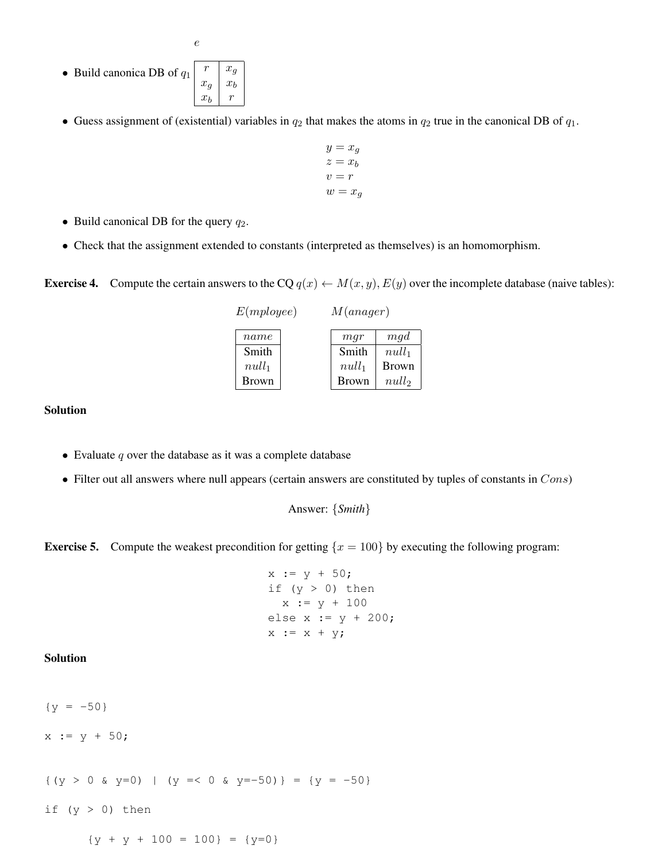- Build canonica DB of  $q_1$  $r \mid x_g$  $x_g \mid x_b$  $x_b$   $r$
- Guess assignment of (existential) variables in  $q_2$  that makes the atoms in  $q_2$  true in the canonical DB of  $q_1$ .
	- $y = x_q$  $z = x_b$  $v = r$  $w = x_q$
- Build canonical DB for the query  $q_2$ .
- Check that the assignment extended to constants (interpreted as themselves) is an homomorphism.

**Exercise 4.** Compute the certain answers to the CQ  $q(x) \leftarrow M(x, y), E(y)$  over the incomplete database (naive tables):

| $E$ ( <i>mployee</i> ) |              | M(anager) |              |              |
|------------------------|--------------|-----------|--------------|--------------|
|                        | name         |           | mqr          | mgd          |
|                        | Smith        |           | Smith        | $null_1$     |
|                        | $null_1$     |           | $null_1$     | <b>Brown</b> |
|                        | <b>Brown</b> |           | <b>Brown</b> | null         |

## Solution

- Evaluate  $q$  over the database as it was a complete database
- Filter out all answers where null appears (certain answers are constituted by tuples of constants in  $Cons$ )

```
Answer: {Smith}
```
**Exercise 5.** Compute the weakest precondition for getting  $\{x = 100\}$  by executing the following program:

```
x := y + 50;if (y > 0) then
  x := y + 100else x := y + 200;
x := x + y;
```
## Solution

 ${y = -50}$  $x := y + 50;$ 

 $\{(y > 0 \& y=0) \mid (y = 0 \& y=-50)\} = \{y = -50\}$ 

if  $(y > 0)$  then

 ${y + y + 100 = 100} = {y=0}$